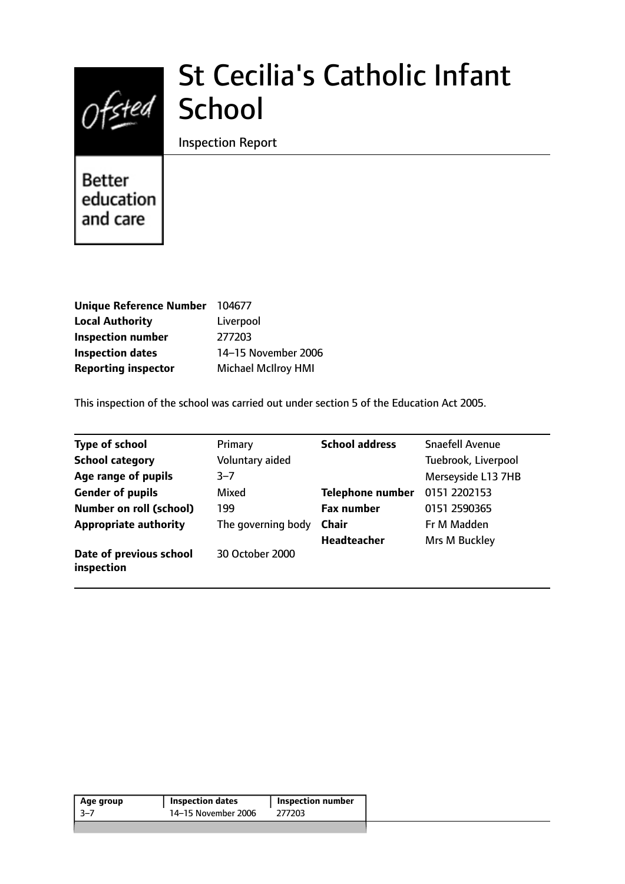

# St Cecilia's Catholic Infant

Inspection Report

**Better** education and care

| <b>Unique Reference Number</b> | 104677                     |
|--------------------------------|----------------------------|
| <b>Local Authority</b>         | Liverpool                  |
| <b>Inspection number</b>       | 277203                     |
| <b>Inspection dates</b>        | 14-15 November 2006        |
| <b>Reporting inspector</b>     | <b>Michael McIlroy HMI</b> |

This inspection of the school was carried out under section 5 of the Education Act 2005.

| Type of school                        | Primary            | <b>School address</b>   | <b>Snaefell Avenue</b> |
|---------------------------------------|--------------------|-------------------------|------------------------|
| <b>School category</b>                | Voluntary aided    |                         | Tuebrook, Liverpool    |
| Age range of pupils                   | $3 - 7$            |                         | Merseyside L13 7HB     |
| <b>Gender of pupils</b>               | Mixed              | <b>Telephone number</b> | 0151 2202153           |
| <b>Number on roll (school)</b>        | 199                | <b>Fax number</b>       | 0151 2590365           |
| <b>Appropriate authority</b>          | The governing body | Chair                   | Fr M Madden            |
|                                       |                    | <b>Headteacher</b>      | Mrs M Buckley          |
| Date of previous school<br>inspection | 30 October 2000    |                         |                        |

| Age group | <b>Inspection dates</b> | <b>Inspection number</b> |
|-----------|-------------------------|--------------------------|
| -3–7      | 14-15 November 2006     | 277203                   |
|           |                         |                          |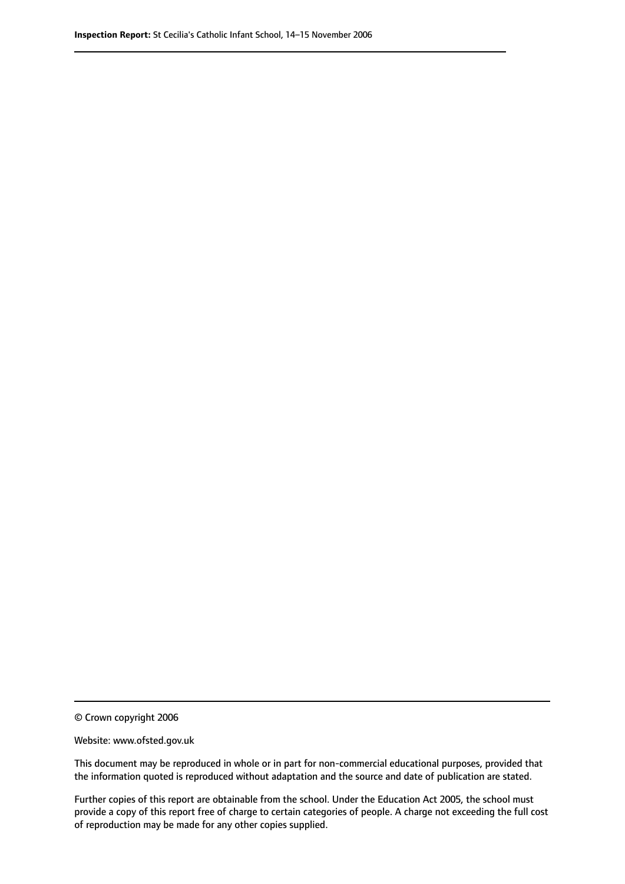© Crown copyright 2006

Website: www.ofsted.gov.uk

This document may be reproduced in whole or in part for non-commercial educational purposes, provided that the information quoted is reproduced without adaptation and the source and date of publication are stated.

Further copies of this report are obtainable from the school. Under the Education Act 2005, the school must provide a copy of this report free of charge to certain categories of people. A charge not exceeding the full cost of reproduction may be made for any other copies supplied.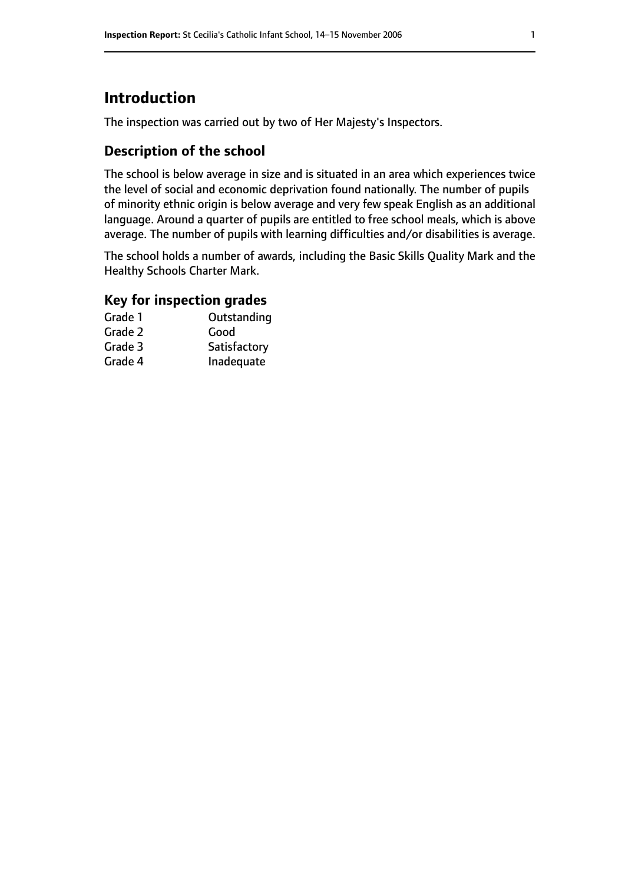# **Introduction**

The inspection was carried out by two of Her Majesty's Inspectors.

## **Description of the school**

The school is below average in size and is situated in an area which experiences twice the level of social and economic deprivation found nationally. The number of pupils of minority ethnic origin is below average and very few speak English as an additional language. Around a quarter of pupils are entitled to free school meals, which is above average. The number of pupils with learning difficulties and/or disabilities is average.

The school holds a number of awards, including the Basic Skills Quality Mark and the Healthy Schools Charter Mark.

## **Key for inspection grades**

| Grade 1 | Outstanding  |
|---------|--------------|
| Grade 2 | Good         |
| Grade 3 | Satisfactory |
| Grade 4 | Inadequate   |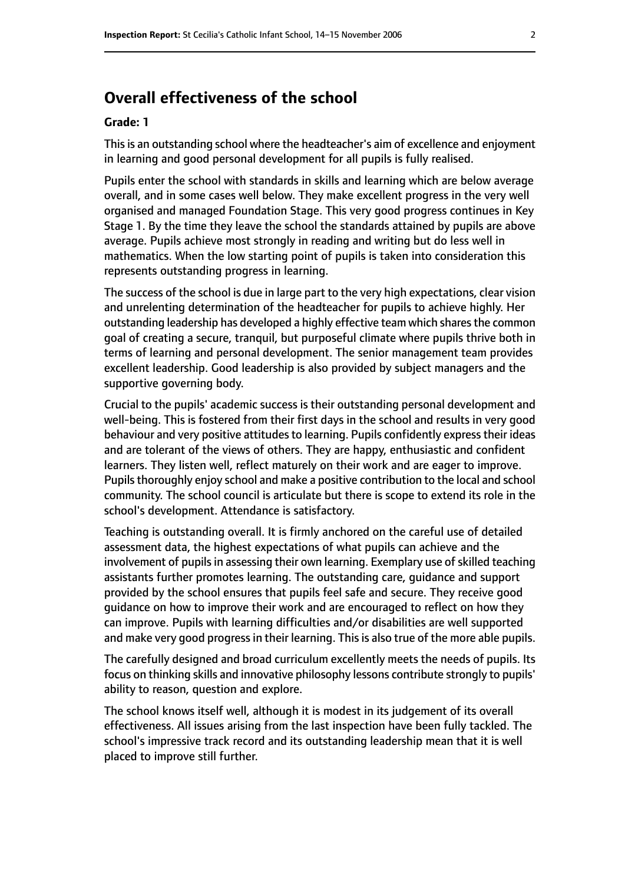# **Overall effectiveness of the school**

#### **Grade: 1**

Thisis an outstanding school where the headteacher's aim of excellence and enjoyment in learning and good personal development for all pupils is fully realised.

Pupils enter the school with standards in skills and learning which are below average overall, and in some cases well below. They make excellent progress in the very well organised and managed Foundation Stage. This very good progress continues in Key Stage 1. By the time they leave the school the standards attained by pupils are above average. Pupils achieve most strongly in reading and writing but do less well in mathematics. When the low starting point of pupils is taken into consideration this represents outstanding progress in learning.

The success of the school is due in large part to the very high expectations, clear vision and unrelenting determination of the headteacher for pupils to achieve highly. Her outstanding leadership has developed a highly effective team which shares the common goal of creating a secure, tranquil, but purposeful climate where pupils thrive both in terms of learning and personal development. The senior management team provides excellent leadership. Good leadership is also provided by subject managers and the supportive governing body.

Crucial to the pupils' academic success is their outstanding personal development and well-being. This is fostered from their first days in the school and results in very good behaviour and very positive attitudes to learning. Pupils confidently express their ideas and are tolerant of the views of others. They are happy, enthusiastic and confident learners. They listen well, reflect maturely on their work and are eager to improve. Pupils thoroughly enjoy school and make a positive contribution to the local and school community. The school council is articulate but there is scope to extend its role in the school's development. Attendance is satisfactory.

Teaching is outstanding overall. It is firmly anchored on the careful use of detailed assessment data, the highest expectations of what pupils can achieve and the involvement of pupils in assessing their own learning. Exemplary use of skilled teaching assistants further promotes learning. The outstanding care, guidance and support provided by the school ensures that pupils feel safe and secure. They receive good guidance on how to improve their work and are encouraged to reflect on how they can improve. Pupils with learning difficulties and/or disabilities are well supported and make very good progress in their learning. This is also true of the more able pupils.

The carefully designed and broad curriculum excellently meets the needs of pupils. Its focus on thinking skills and innovative philosophy lessons contribute strongly to pupils' ability to reason, question and explore.

The school knows itself well, although it is modest in its judgement of its overall effectiveness. All issues arising from the last inspection have been fully tackled. The school's impressive track record and its outstanding leadership mean that it is well placed to improve still further.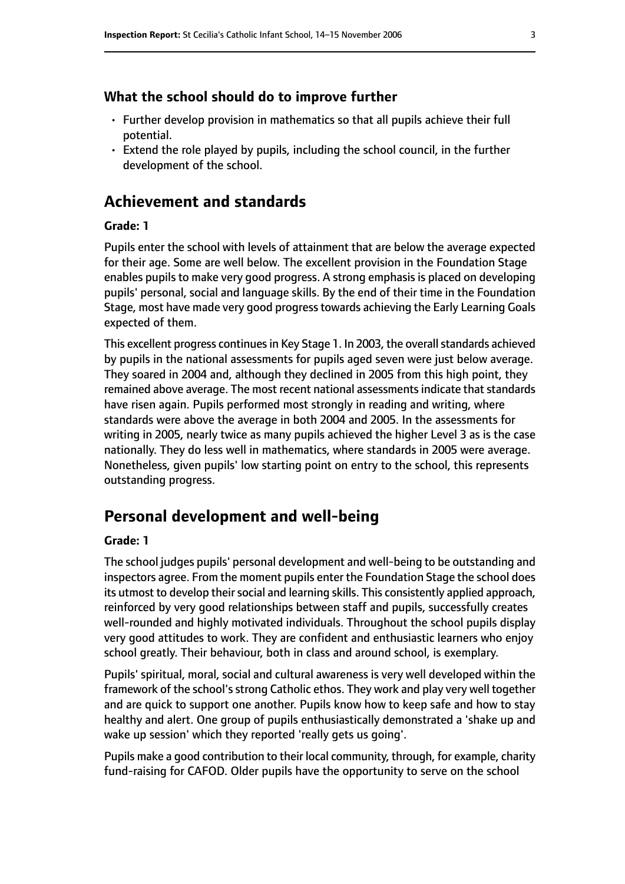#### **What the school should do to improve further**

- Further develop provision in mathematics so that all pupils achieve their full potential.
- Extend the role played by pupils, including the school council, in the further development of the school.

# **Achievement and standards**

#### **Grade: 1**

Pupils enter the school with levels of attainment that are below the average expected for their age. Some are well below. The excellent provision in the Foundation Stage enables pupils to make very good progress. A strong emphasis is placed on developing pupils' personal, social and language skills. By the end of their time in the Foundation Stage, most have made very good progresstowards achieving the Early Learning Goals expected of them.

This excellent progress continues in Key Stage 1. In 2003, the overall standards achieved by pupils in the national assessments for pupils aged seven were just below average. They soared in 2004 and, although they declined in 2005 from this high point, they remained above average. The most recent national assessments indicate that standards have risen again. Pupils performed most strongly in reading and writing, where standards were above the average in both 2004 and 2005. In the assessments for writing in 2005, nearly twice as many pupils achieved the higher Level 3 as is the case nationally. They do less well in mathematics, where standards in 2005 were average. Nonetheless, given pupils' low starting point on entry to the school, this represents outstanding progress.

# **Personal development and well-being**

#### **Grade: 1**

The school judges pupils' personal development and well-being to be outstanding and inspectors agree. From the moment pupils enter the Foundation Stage the school does its utmost to develop their social and learning skills. This consistently applied approach, reinforced by very good relationships between staff and pupils, successfully creates well-rounded and highly motivated individuals. Throughout the school pupils display very good attitudes to work. They are confident and enthusiastic learners who enjoy school greatly. Their behaviour, both in class and around school, is exemplary.

Pupils' spiritual, moral, social and cultural awareness is very well developed within the framework of the school's strong Catholic ethos. They work and play very well together and are quick to support one another. Pupils know how to keep safe and how to stay healthy and alert. One group of pupils enthusiastically demonstrated a 'shake up and wake up session' which they reported 'really gets us going'.

Pupils make a good contribution to their local community, through, for example, charity fund-raising for CAFOD. Older pupils have the opportunity to serve on the school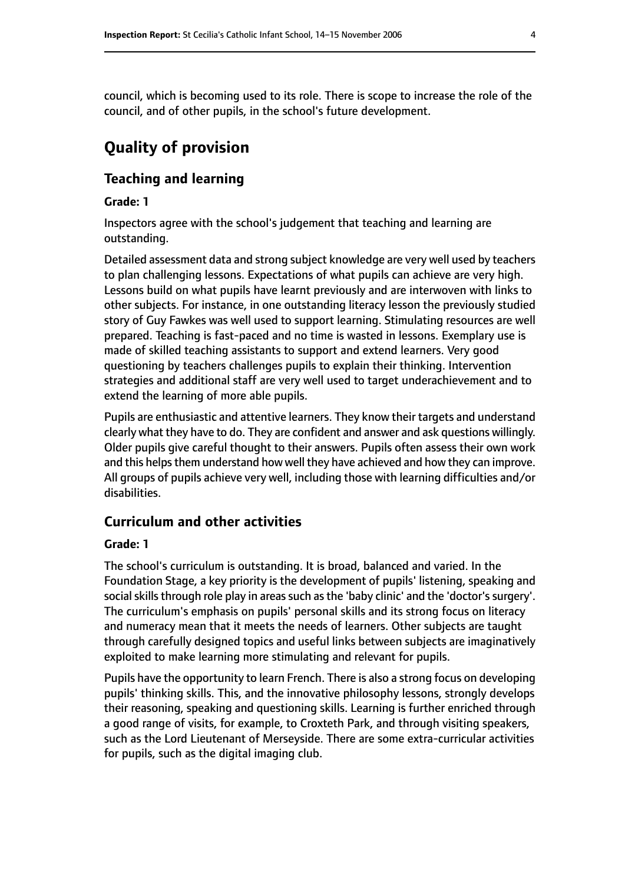council, which is becoming used to its role. There is scope to increase the role of the council, and of other pupils, in the school's future development.

# **Quality of provision**

### **Teaching and learning**

#### **Grade: 1**

Inspectors agree with the school's judgement that teaching and learning are outstanding.

Detailed assessment data and strong subject knowledge are very well used by teachers to plan challenging lessons. Expectations of what pupils can achieve are very high. Lessons build on what pupils have learnt previously and are interwoven with links to other subjects. For instance, in one outstanding literacy lesson the previously studied story of Guy Fawkes was well used to support learning. Stimulating resources are well prepared. Teaching is fast-paced and no time is wasted in lessons. Exemplary use is made of skilled teaching assistants to support and extend learners. Very good questioning by teachers challenges pupils to explain their thinking. Intervention strategies and additional staff are very well used to target underachievement and to extend the learning of more able pupils.

Pupils are enthusiastic and attentive learners. They know their targets and understand clearly what they have to do. They are confident and answer and ask questions willingly. Older pupils give careful thought to their answers. Pupils often assess their own work and this helps them understand how well they have achieved and how they can improve. All groups of pupils achieve very well, including those with learning difficulties and/or disabilities.

#### **Curriculum and other activities**

#### **Grade: 1**

The school's curriculum is outstanding. It is broad, balanced and varied. In the Foundation Stage, a key priority is the development of pupils' listening, speaking and social skills through role play in areas such as the 'baby clinic' and the 'doctor's surgery'. The curriculum's emphasis on pupils' personal skills and its strong focus on literacy and numeracy mean that it meets the needs of learners. Other subjects are taught through carefully designed topics and useful links between subjects are imaginatively exploited to make learning more stimulating and relevant for pupils.

Pupils have the opportunity to learn French. There is also a strong focus on developing pupils' thinking skills. This, and the innovative philosophy lessons, strongly develops their reasoning, speaking and questioning skills. Learning is further enriched through a good range of visits, for example, to Croxteth Park, and through visiting speakers, such as the Lord Lieutenant of Merseyside. There are some extra-curricular activities for pupils, such as the digital imaging club.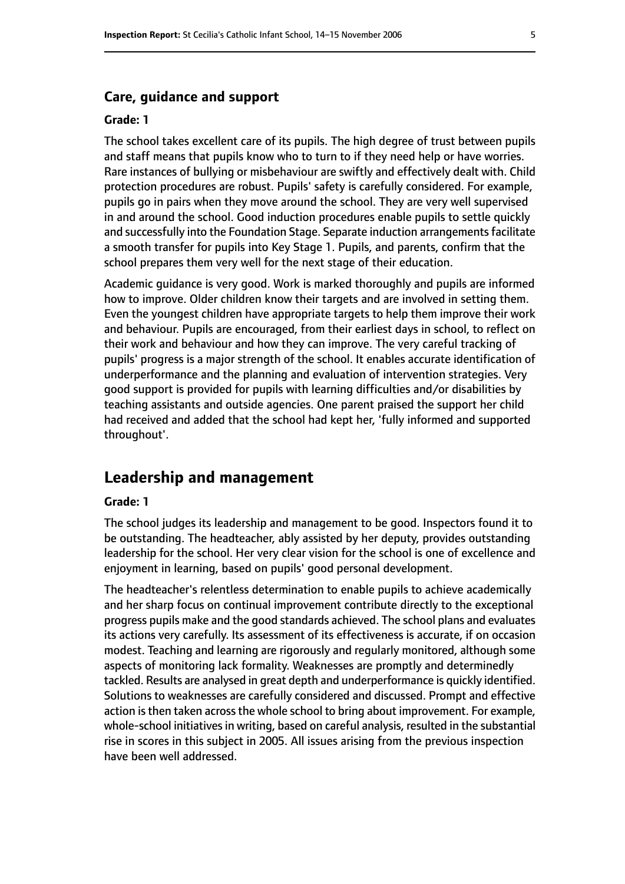#### **Care, guidance and support**

#### **Grade: 1**

The school takes excellent care of its pupils. The high degree of trust between pupils and staff means that pupils know who to turn to if they need help or have worries. Rare instances of bullying or misbehaviour are swiftly and effectively dealt with. Child protection procedures are robust. Pupils' safety is carefully considered. For example, pupils go in pairs when they move around the school. They are very well supervised in and around the school. Good induction procedures enable pupils to settle quickly and successfully into the Foundation Stage. Separate induction arrangements facilitate a smooth transfer for pupils into Key Stage 1. Pupils, and parents, confirm that the school prepares them very well for the next stage of their education.

Academic guidance is very good. Work is marked thoroughly and pupils are informed how to improve. Older children know their targets and are involved in setting them. Even the youngest children have appropriate targets to help them improve their work and behaviour. Pupils are encouraged, from their earliest days in school, to reflect on their work and behaviour and how they can improve. The very careful tracking of pupils' progress is a major strength of the school. It enables accurate identification of underperformance and the planning and evaluation of intervention strategies. Very good support is provided for pupils with learning difficulties and/or disabilities by teaching assistants and outside agencies. One parent praised the support her child had received and added that the school had kept her, 'fully informed and supported throughout'.

#### **Leadership and management**

#### **Grade: 1**

The school judges its leadership and management to be good. Inspectors found it to be outstanding. The headteacher, ably assisted by her deputy, provides outstanding leadership for the school. Her very clear vision for the school is one of excellence and enjoyment in learning, based on pupils' good personal development.

The headteacher's relentless determination to enable pupils to achieve academically and her sharp focus on continual improvement contribute directly to the exceptional progress pupils make and the good standards achieved. The school plans and evaluates its actions very carefully. Its assessment of its effectiveness is accurate, if on occasion modest. Teaching and learning are rigorously and regularly monitored, although some aspects of monitoring lack formality. Weaknesses are promptly and determinedly tackled. Results are analysed in great depth and underperformance is quickly identified. Solutions to weaknesses are carefully considered and discussed. Prompt and effective action is then taken across the whole school to bring about improvement. For example, whole-school initiatives in writing, based on careful analysis, resulted in the substantial rise in scores in this subject in 2005. All issues arising from the previous inspection have been well addressed.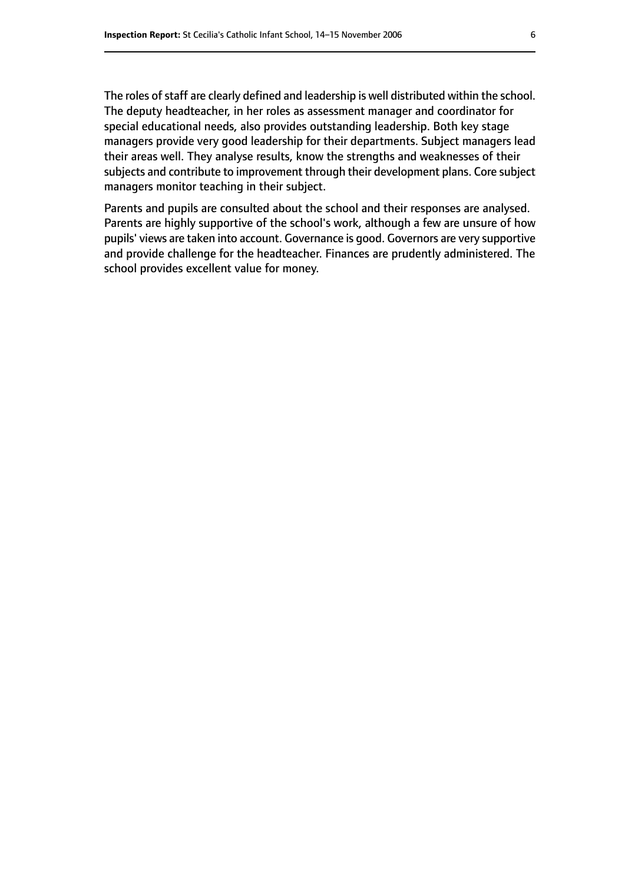The roles of staff are clearly defined and leadership is well distributed within the school. The deputy headteacher, in her roles as assessment manager and coordinator for special educational needs, also provides outstanding leadership. Both key stage managers provide very good leadership for their departments. Subject managers lead their areas well. They analyse results, know the strengths and weaknesses of their subjects and contribute to improvement through their development plans. Core subject managers monitor teaching in their subject.

Parents and pupils are consulted about the school and their responses are analysed. Parents are highly supportive of the school's work, although a few are unsure of how pupils' views are taken into account. Governance is good. Governors are very supportive and provide challenge for the headteacher. Finances are prudently administered. The school provides excellent value for money.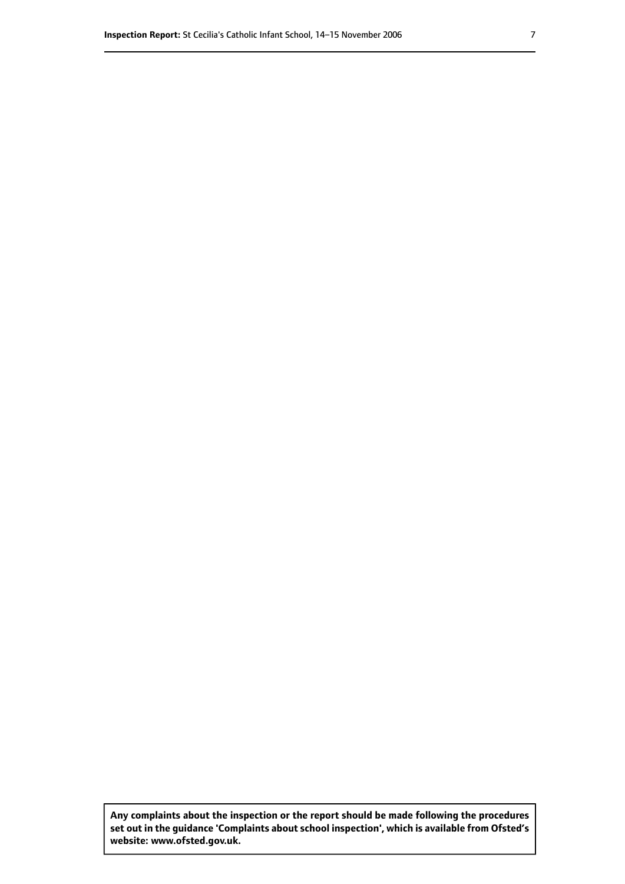**Any complaints about the inspection or the report should be made following the procedures set out inthe guidance 'Complaints about school inspection', whichis available from Ofsted's website: www.ofsted.gov.uk.**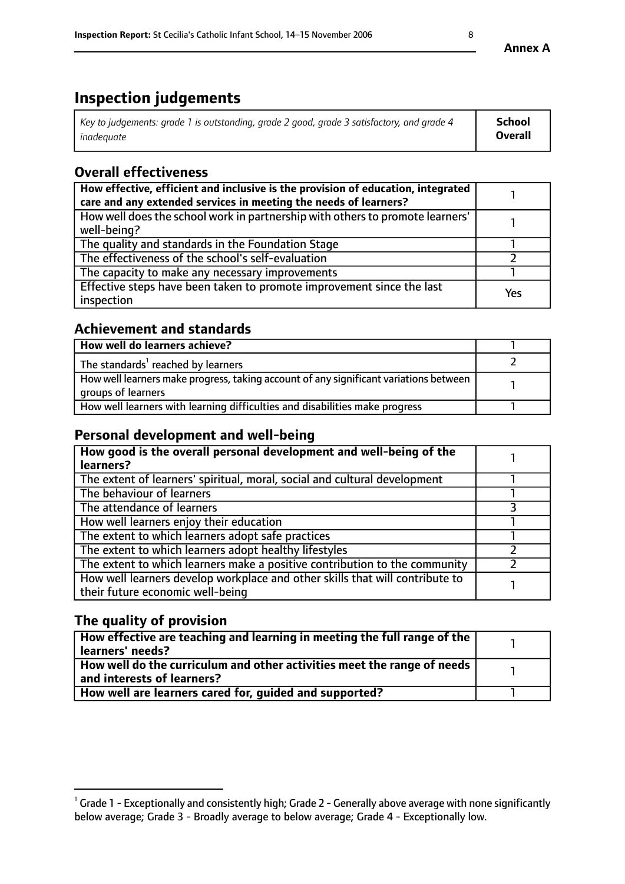# **Inspection judgements**

| Key to judgements: grade 1 is outstanding, grade 2 good, grade 3 satisfactory, and grade 4 | <b>School</b>  |
|--------------------------------------------------------------------------------------------|----------------|
| inadeauate                                                                                 | <b>Overall</b> |

# **Overall effectiveness**

| How effective, efficient and inclusive is the provision of education, integrated<br>care and any extended services in meeting the needs of learners? |     |
|------------------------------------------------------------------------------------------------------------------------------------------------------|-----|
| How well does the school work in partnership with others to promote learners'<br>well-being?                                                         |     |
| The quality and standards in the Foundation Stage                                                                                                    |     |
| The effectiveness of the school's self-evaluation                                                                                                    |     |
| The capacity to make any necessary improvements                                                                                                      |     |
| Effective steps have been taken to promote improvement since the last<br>inspection                                                                  | Yes |

## **Achievement and standards**

| How well do learners achieve?                                                                               |  |
|-------------------------------------------------------------------------------------------------------------|--|
| The standards <sup>1</sup> reached by learners                                                              |  |
| How well learners make progress, taking account of any significant variations between<br>groups of learners |  |
| How well learners with learning difficulties and disabilities make progress                                 |  |

## **Personal development and well-being**

| How good is the overall personal development and well-being of the<br>learners?                                  |  |
|------------------------------------------------------------------------------------------------------------------|--|
| The extent of learners' spiritual, moral, social and cultural development                                        |  |
| The behaviour of learners                                                                                        |  |
| The attendance of learners                                                                                       |  |
| How well learners enjoy their education                                                                          |  |
| The extent to which learners adopt safe practices                                                                |  |
| The extent to which learners adopt healthy lifestyles                                                            |  |
| The extent to which learners make a positive contribution to the community                                       |  |
| How well learners develop workplace and other skills that will contribute to<br>their future economic well-being |  |

# **The quality of provision**

| How effective are teaching and learning in meeting the full range of the<br>  learners' needs?                      |  |
|---------------------------------------------------------------------------------------------------------------------|--|
| $\mid$ How well do the curriculum and other activities meet the range of needs<br>$\mid$ and interests of learners? |  |
| How well are learners cared for, guided and supported?                                                              |  |

 $^1$  Grade 1 - Exceptionally and consistently high; Grade 2 - Generally above average with none significantly below average; Grade 3 - Broadly average to below average; Grade 4 - Exceptionally low.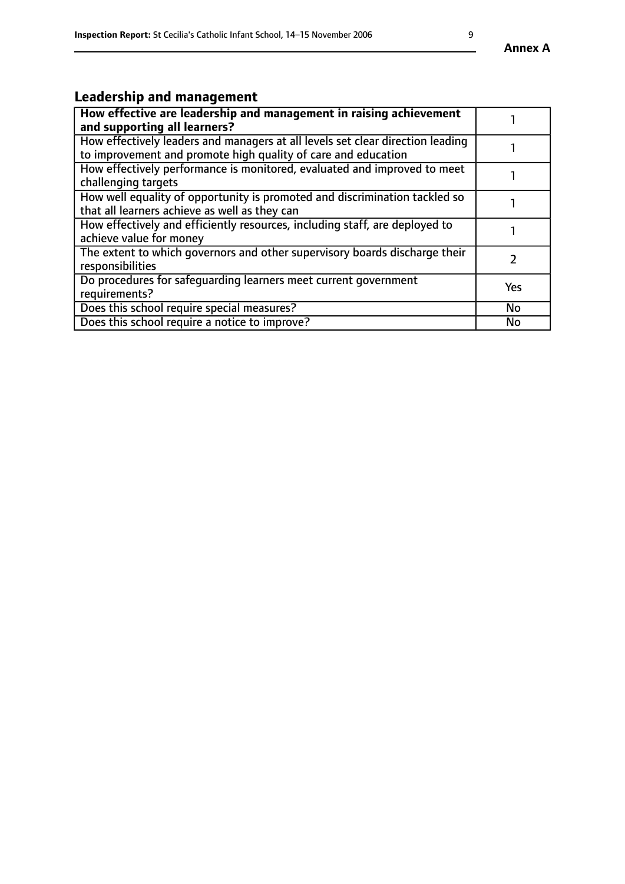# **Leadership and management**

| How effective are leadership and management in raising achievement<br>and supporting all learners?                                              |     |
|-------------------------------------------------------------------------------------------------------------------------------------------------|-----|
| How effectively leaders and managers at all levels set clear direction leading<br>to improvement and promote high quality of care and education |     |
| How effectively performance is monitored, evaluated and improved to meet<br>challenging targets                                                 |     |
| How well equality of opportunity is promoted and discrimination tackled so<br>that all learners achieve as well as they can                     |     |
| How effectively and efficiently resources, including staff, are deployed to<br>achieve value for money                                          |     |
| The extent to which governors and other supervisory boards discharge their<br>responsibilities                                                  |     |
| Do procedures for safequarding learners meet current government<br>requirements?                                                                | Yes |
| Does this school require special measures?                                                                                                      | No  |
| Does this school require a notice to improve?                                                                                                   | No  |